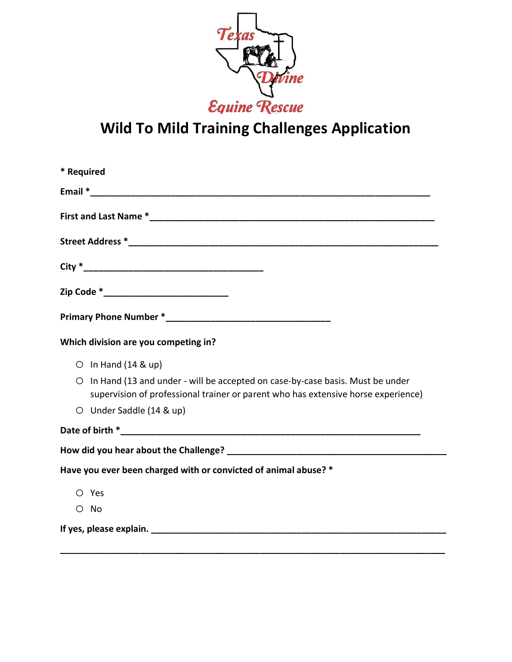

## **Wild To Mild Training Challenges Application**

| * Required                                                                                                                                                                                                                             |
|----------------------------------------------------------------------------------------------------------------------------------------------------------------------------------------------------------------------------------------|
|                                                                                                                                                                                                                                        |
|                                                                                                                                                                                                                                        |
|                                                                                                                                                                                                                                        |
|                                                                                                                                                                                                                                        |
| Zip Code *____________________________                                                                                                                                                                                                 |
|                                                                                                                                                                                                                                        |
| Which division are you competing in?                                                                                                                                                                                                   |
| $\circ$ In Hand (14 & up)<br>In Hand (13 and under - will be accepted on case-by-case basis. Must be under<br>O<br>supervision of professional trainer or parent who has extensive horse experience)<br>$\circ$ Under Saddle (14 & up) |
|                                                                                                                                                                                                                                        |
|                                                                                                                                                                                                                                        |
| Have you ever been charged with or convicted of animal abuse? *                                                                                                                                                                        |
| $O$ Yes<br>$O$ No                                                                                                                                                                                                                      |
|                                                                                                                                                                                                                                        |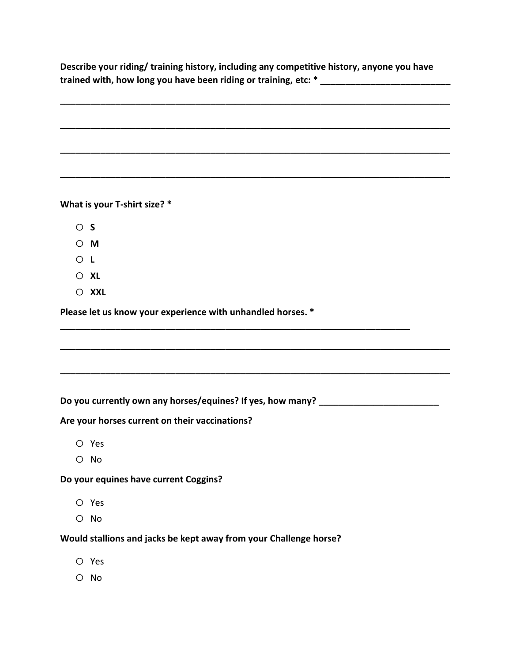**Describe your riding/ training history, including any competitive history, anyone you have trained with, how long you have been riding or training, etc: \* \_\_\_\_\_\_\_\_\_\_\_\_\_\_\_\_\_\_\_\_\_\_\_\_\_\_**

**\_\_\_\_\_\_\_\_\_\_\_\_\_\_\_\_\_\_\_\_\_\_\_\_\_\_\_\_\_\_\_\_\_\_\_\_\_\_\_\_\_\_\_\_\_\_\_\_\_\_\_\_\_\_\_\_\_\_\_\_\_\_\_\_\_\_\_\_\_\_\_\_\_\_\_\_\_\_**

**\_\_\_\_\_\_\_\_\_\_\_\_\_\_\_\_\_\_\_\_\_\_\_\_\_\_\_\_\_\_\_\_\_\_\_\_\_\_\_\_\_\_\_\_\_\_\_\_\_\_\_\_\_\_\_\_\_\_\_\_\_\_\_\_\_\_\_\_\_\_\_\_\_\_\_\_\_\_**

**\_\_\_\_\_\_\_\_\_\_\_\_\_\_\_\_\_\_\_\_\_\_\_\_\_\_\_\_\_\_\_\_\_\_\_\_\_\_\_\_\_\_\_\_\_\_\_\_\_\_\_\_\_\_\_\_\_\_\_\_\_\_\_\_\_\_\_\_\_\_\_\_\_\_\_\_\_\_**

**\_\_\_\_\_\_\_\_\_\_\_\_\_\_\_\_\_\_\_\_\_\_\_\_\_\_\_\_\_\_\_\_\_\_\_\_\_\_\_\_\_\_\_\_\_\_\_\_\_\_\_\_\_\_\_\_\_\_\_\_\_\_\_\_\_\_\_\_\_\_\_\_\_\_\_\_\_\_**

**What is your T-shirt size? \***

- o **<sup>S</sup>**
- o **<sup>M</sup>**
- o **<sup>L</sup>**
- o **XL**
- o **XXL**

**Please let us know your experience with unhandled horses. \***

Do you currently own any horses/equines? If yes, how many?

**\_\_\_\_\_\_\_\_\_\_\_\_\_\_\_\_\_\_\_\_\_\_\_\_\_\_\_\_\_\_\_\_\_\_\_\_\_\_\_\_\_\_\_\_\_\_\_\_\_\_\_\_\_\_\_\_\_\_\_\_\_\_\_\_\_\_\_\_\_\_**

**\_\_\_\_\_\_\_\_\_\_\_\_\_\_\_\_\_\_\_\_\_\_\_\_\_\_\_\_\_\_\_\_\_\_\_\_\_\_\_\_\_\_\_\_\_\_\_\_\_\_\_\_\_\_\_\_\_\_\_\_\_\_\_\_\_\_\_\_\_\_\_\_\_\_\_\_\_\_**

**\_\_\_\_\_\_\_\_\_\_\_\_\_\_\_\_\_\_\_\_\_\_\_\_\_\_\_\_\_\_\_\_\_\_\_\_\_\_\_\_\_\_\_\_\_\_\_\_\_\_\_\_\_\_\_\_\_\_\_\_\_\_\_\_\_\_\_\_\_\_\_\_\_\_\_\_\_\_**

**Are your horses current on their vaccinations?**

- o Yes
- o No

**Do your equines have current Coggins?**

- o Yes
- o No

**Would stallions and jacks be kept away from your Challenge horse?**

- o Yes
- o No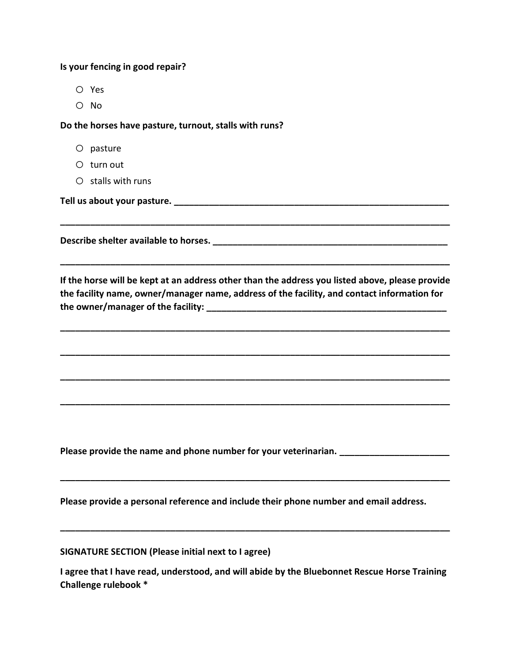## **Is your fencing in good repair?**

- o Yes
- o No

**Do the horses have pasture, turnout, stalls with runs?**

- o pasture
- o turn out
- $\bigcirc$  stalls with runs

**Tell us about your pasture. \_\_\_\_\_\_\_\_\_\_\_\_\_\_\_\_\_\_\_\_\_\_\_\_\_\_\_\_\_\_\_\_\_\_\_\_\_\_\_\_\_\_\_\_\_\_\_\_\_\_\_\_\_\_\_**

**Describe shelter available to horses. \_\_\_\_\_\_\_\_\_\_\_\_\_\_\_\_\_\_\_\_\_\_\_\_\_\_\_\_\_\_\_\_\_\_\_\_\_\_\_\_\_\_\_\_\_\_\_**

**If the horse will be kept at an address other than the address you listed above, please provide the facility name, owner/manager name, address of the facility, and contact information for the owner/manager of the facility: \_\_\_\_\_\_\_\_\_\_\_\_\_\_\_\_\_\_\_\_\_\_\_\_\_\_\_\_\_\_\_\_\_\_\_\_\_\_\_\_\_\_\_\_\_\_\_\_**

**\_\_\_\_\_\_\_\_\_\_\_\_\_\_\_\_\_\_\_\_\_\_\_\_\_\_\_\_\_\_\_\_\_\_\_\_\_\_\_\_\_\_\_\_\_\_\_\_\_\_\_\_\_\_\_\_\_\_\_\_\_\_\_\_\_\_\_\_\_\_\_\_\_\_\_\_\_\_**

**\_\_\_\_\_\_\_\_\_\_\_\_\_\_\_\_\_\_\_\_\_\_\_\_\_\_\_\_\_\_\_\_\_\_\_\_\_\_\_\_\_\_\_\_\_\_\_\_\_\_\_\_\_\_\_\_\_\_\_\_\_\_\_\_\_\_\_\_\_\_\_\_\_\_\_\_\_\_**

**\_\_\_\_\_\_\_\_\_\_\_\_\_\_\_\_\_\_\_\_\_\_\_\_\_\_\_\_\_\_\_\_\_\_\_\_\_\_\_\_\_\_\_\_\_\_\_\_\_\_\_\_\_\_\_\_\_\_\_\_\_\_\_\_\_\_\_\_\_\_\_\_\_\_\_\_\_\_**

**\_\_\_\_\_\_\_\_\_\_\_\_\_\_\_\_\_\_\_\_\_\_\_\_\_\_\_\_\_\_\_\_\_\_\_\_\_\_\_\_\_\_\_\_\_\_\_\_\_\_\_\_\_\_\_\_\_\_\_\_\_\_\_\_\_\_\_\_\_\_\_\_\_\_\_\_\_\_**

**\_\_\_\_\_\_\_\_\_\_\_\_\_\_\_\_\_\_\_\_\_\_\_\_\_\_\_\_\_\_\_\_\_\_\_\_\_\_\_\_\_\_\_\_\_\_\_\_\_\_\_\_\_\_\_\_\_\_\_\_\_\_\_\_\_\_\_\_\_\_\_\_\_\_\_\_\_\_**

**\_\_\_\_\_\_\_\_\_\_\_\_\_\_\_\_\_\_\_\_\_\_\_\_\_\_\_\_\_\_\_\_\_\_\_\_\_\_\_\_\_\_\_\_\_\_\_\_\_\_\_\_\_\_\_\_\_\_\_\_\_\_\_\_\_\_\_\_\_\_\_\_\_\_\_\_\_\_**

**\_\_\_\_\_\_\_\_\_\_\_\_\_\_\_\_\_\_\_\_\_\_\_\_\_\_\_\_\_\_\_\_\_\_\_\_\_\_\_\_\_\_\_\_\_\_\_\_\_\_\_\_\_\_\_\_\_\_\_\_\_\_\_\_\_\_\_\_\_\_\_\_\_\_\_\_\_\_**

**\_\_\_\_\_\_\_\_\_\_\_\_\_\_\_\_\_\_\_\_\_\_\_\_\_\_\_\_\_\_\_\_\_\_\_\_\_\_\_\_\_\_\_\_\_\_\_\_\_\_\_\_\_\_\_\_\_\_\_\_\_\_\_\_\_\_\_\_\_\_\_\_\_\_\_\_\_\_**

**Please provide the name and phone number for your veterinarian. \_\_\_\_\_\_\_\_\_\_\_\_\_\_\_\_\_\_\_\_\_\_**

**Please provide a personal reference and include their phone number and email address.**

**SIGNATURE SECTION (Please initial next to I agree)**

**I agree that I have read, understood, and will abide by the Bluebonnet Rescue Horse Training Challenge rulebook \***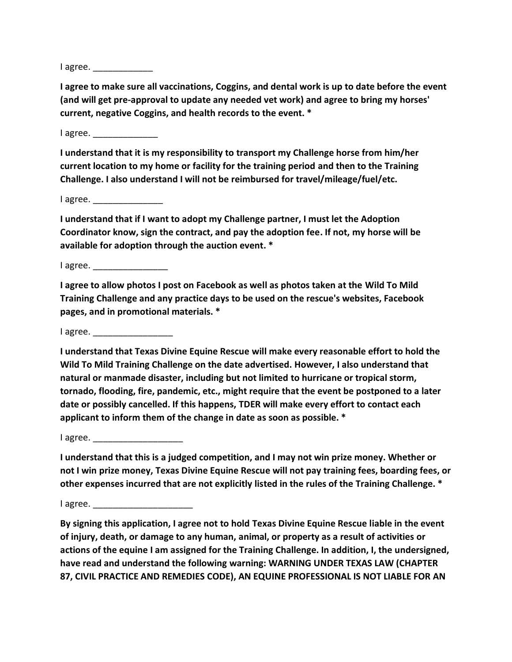I agree.

**I agree to make sure all vaccinations, Coggins, and dental work is up to date before the event (and will get pre-approval to update any needed vet work) and agree to bring my horses' current, negative Coggins, and health records to the event. \***

I agree.

**I understand that it is my responsibility to transport my Challenge horse from him/her current location to my home or facility for the training period and then to the Training Challenge. I also understand I will not be reimbursed for travel/mileage/fuel/etc.** 

I agree. \_\_\_\_\_\_\_

**I understand that if I want to adopt my Challenge partner, I must let the Adoption Coordinator know, sign the contract, and pay the adoption fee. If not, my horse will be available for adoption through the auction event. \***

 $I$  agree.

**I agree to allow photos I post on Facebook as well as photos taken at the Wild To Mild Training Challenge and any practice days to be used on the rescue's websites, Facebook pages, and in promotional materials. \***

I agree.

**I understand that Texas Divine Equine Rescue will make every reasonable effort to hold the Wild To Mild Training Challenge on the date advertised. However, I also understand that natural or manmade disaster, including but not limited to hurricane or tropical storm, tornado, flooding, fire, pandemic, etc., might require that the event be postponed to a later date or possibly cancelled. If this happens, TDER will make every effort to contact each applicant to inform them of the change in date as soon as possible. \***

I agree.

**I understand that this is a judged competition, and I may not win prize money. Whether or not I win prize money, Texas Divine Equine Rescue will not pay training fees, boarding fees, or other expenses incurred that are not explicitly listed in the rules of the Training Challenge. \***

I agree. \_\_\_\_\_\_\_\_\_\_\_\_\_\_\_\_\_\_\_\_

**By signing this application, I agree not to hold Texas Divine Equine Rescue liable in the event of injury, death, or damage to any human, animal, or property as a result of activities or actions of the equine I am assigned for the Training Challenge. In addition, I, the undersigned, have read and understand the following warning: WARNING UNDER TEXAS LAW (CHAPTER 87, CIVIL PRACTICE AND REMEDIES CODE), AN EQUINE PROFESSIONAL IS NOT LIABLE FOR AN**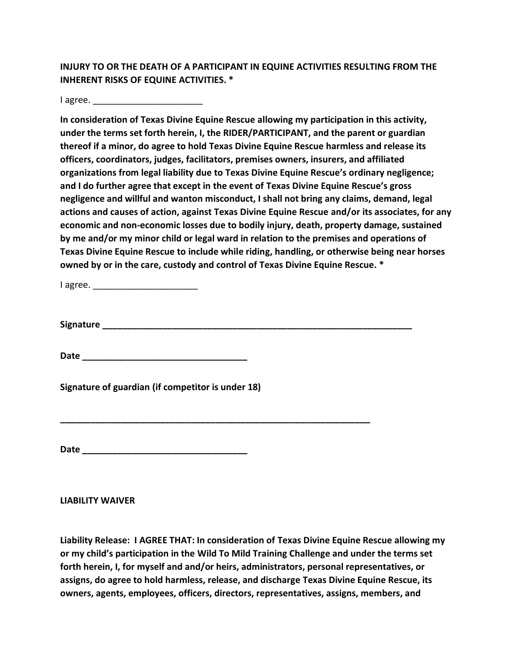**INJURY TO OR THE DEATH OF A PARTICIPANT IN EQUINE ACTIVITIES RESULTING FROM THE INHERENT RISKS OF EQUINE ACTIVITIES. \***

 $I$  agree.

**In consideration of Texas Divine Equine Rescue allowing my participation in this activity, under the terms set forth herein, I, the RIDER/PARTICIPANT, and the parent or guardian thereof if a minor, do agree to hold Texas Divine Equine Rescue harmless and release its officers, coordinators, judges, facilitators, premises owners, insurers, and affiliated organizations from legal liability due to Texas Divine Equine Rescue's ordinary negligence; and I do further agree that except in the event of Texas Divine Equine Rescue's gross negligence and willful and wanton misconduct, I shall not bring any claims, demand, legal actions and causes of action, against Texas Divine Equine Rescue and/or its associates, for any economic and non-economic losses due to bodily injury, death, property damage, sustained by me and/or my minor child or legal ward in relation to the premises and operations of Texas Divine Equine Rescue to include while riding, handling, or otherwise being near horses owned by or in the care, custody and control of Texas Divine Equine Rescue. \***

I agree. \_\_\_\_\_\_\_\_\_\_\_\_\_\_\_\_\_\_\_\_\_

**Signature \_\_\_\_\_\_\_\_\_\_\_\_\_\_\_\_\_\_\_\_\_\_\_\_\_\_\_\_\_\_\_\_\_\_\_\_\_\_\_\_\_\_\_\_\_\_\_\_\_\_\_\_\_\_\_\_\_\_\_\_\_\_**

**\_\_\_\_\_\_\_\_\_\_\_\_\_\_\_\_\_\_\_\_\_\_\_\_\_\_\_\_\_\_\_\_\_\_\_\_\_\_\_\_\_\_\_\_\_\_\_\_\_\_\_\_\_\_\_\_\_\_\_\_\_\_**

**Date \_\_\_\_\_\_\_\_\_\_\_\_\_\_\_\_\_\_\_\_\_\_\_\_\_\_\_\_\_\_\_\_\_**

**Signature of guardian (if competitor is under 18)**

**Date \_\_\_\_\_\_\_\_\_\_\_\_\_\_\_\_\_\_\_\_\_\_\_\_\_\_\_\_\_\_\_\_\_**

## **LIABILITY WAIVER**

**Liability Release: I AGREE THAT: In consideration of Texas Divine Equine Rescue allowing my or my child's participation in the Wild To Mild Training Challenge and under the terms set forth herein, I, for myself and and/or heirs, administrators, personal representatives, or assigns, do agree to hold harmless, release, and discharge Texas Divine Equine Rescue, its owners, agents, employees, officers, directors, representatives, assigns, members, and**